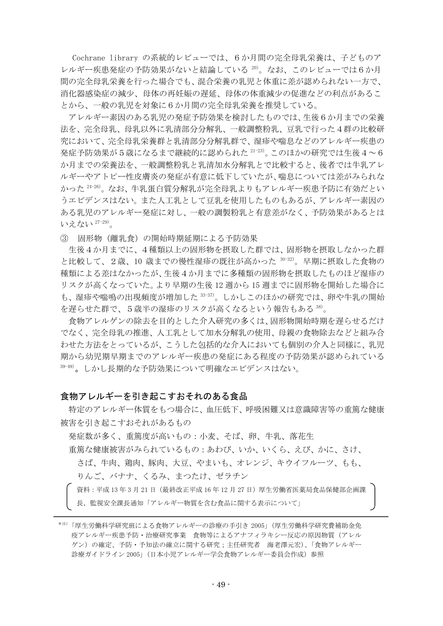Cochrane library の系統的レビューでは、6か月間の完全母乳栄養は、子どものア レルギー疾患発症の予防効果がないと結論している 20)。なお、このレビューでは6か月 間の完全母乳栄養を行った場合でも、混合栄養の乳児と体重に差が認められない一方で、 消化器感染症の減少、母体の再妊娠の遅延、母体の体重減少の促進などの利点があるこ とから、一般の乳児を対象に6か月間の完全母乳栄養を推奨している。

アレルギー素因のある乳児の発症予防効果を検討したものでは、生後6か月までの栄養 法を、完全母乳、母乳以外に乳清部分分解乳、一般調整粉乳、豆乳で行った4群の比較研 究において、完全母乳栄養群と乳清部分分解乳群で、湿疹や喘息などのアレルギー疾患の 発症予防効果が5歳になるまで継続的に認められた  $21-23$ )。このほかの研究では生後 $4\sim6$ か月までの栄養法を、一般調整粉乳と乳清加水分解乳とで比較すると、後者では牛乳アレ ルギーやアトピー性皮膚炎の発症が有意に低下していたが、喘息については差がみられな かった 24-26)。なお、牛乳蛋白質分解乳が完全母乳よりもアレルギー疾患予防に有効だとい うエビデンスはない。また人工乳として豆乳を使用したものもあるが、アレルギー素因の ある乳児のアレルギー発症に対し、一般の調製粉乳と有意差がなく、予防効果があるとは いえない 27-29)。

③ 固形物(離乳食)の開始時期延期による予防効果

 生後4か月までに、4種類以上の固形物を摂取した群では、固形物を摂取しなかった群 と比較して、2歳、10歳までの慢性湿疹の既往が高かった 30-32)。早期に摂取した食物の 種類による差はなかったが、生後4か月までに多種類の固形物を摂取したものほど湿疹の リスクが高くなっていた。より早期の生後 12 週から 15 週までに固形物を開始した場合に も、湿疹や喘鳴の出現頻度が増加した 33-37)。しかしこのほかの研究では、卵や牛乳の開始 を遅らせた群で、5歳半の湿疹のリスクが高くなるという報告もある 38)。

食物アレルゲンの除去を目的とした介入研究の多くは、固形物開始時期を遅らせるだけ でなく、完全母乳の推進、人工乳として加水分解乳の使用、母親の食物除去などと組み合 わせた方法をとっているが、こうした包括的な介入においても個別の介入と同様に、乳児 期から幼児期早期までのアレルギー疾患の発症にある程度の予防効果が認められている 39-49)。しかし長期的な予防効果について明確なエビデンスはない。

## 食物アレルギーを引き起こすおそれのある食品

特定のアレルギー体質をもつ場合に、血圧低下、呼吸困難又は意識障害等の重篤な健康 被害を引き起こすおそれがあるもの

発症数が多く、重篤度が高いもの:小麦、そば、卵、牛乳、落花生

重篤な健康被害がみられているもの:あわび、いか、いくら、えび、かに、さけ、

さば、牛肉、鶏肉、豚肉、大豆、やまいも、オレンジ、キウイフルーツ、もも、 りんご、バナナ、くるみ、まつたけ、ゼラチン

資料:平成 13年 3月 21日 (最終改正平成 16年 12月 27日)厚生労働省医薬局食品保健部企画課 長,監視安全課長通知「アレルギー物質を含む食品に関する表示について」

<sup>\*</sup>注)「厚生労働科学研究班による食物アレルギーの診療の手引き 2005」(厚生労働科学研究費補助金免 疫アレルギー疾患予防・治療研究事業 食物等によるアナフィラキシー反応の原因物質(アレル ゲン)の確定、予防・予知法の確立に関する研究;主任研究者 海老澤元宏)、「食物アレルギー 診療ガイドライン 2005」(日本小児アレルギー学会食物アレルギー委員会作成)参照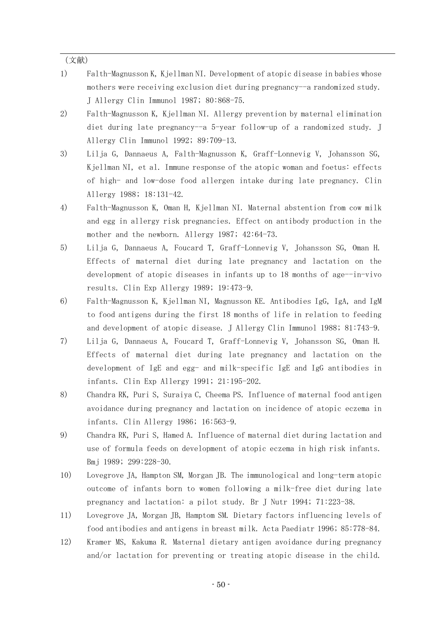(文献)

- 1) Falth-Magnusson K, Kjellman NI. Development of atopic disease in babies whose mothers were receiving exclusion diet during pregnancy--a randomized study. J Allergy Clin Immunol 1987; 80:868-75.
- 2) Falth-Magnusson K, Kjellman NI. Allergy prevention by maternal elimination diet during late pregnancy--a 5-year follow-up of a randomized study. J Allergy Clin Immunol 1992; 89:709-13.
- 3) Lilja G, Dannaeus A, Falth-Magnusson K, Graff-Lonnevig V, Johansson SG, Kjellman NI, et al. Immune response of the atopic woman and foetus: effects of high- and low-dose food allergen intake during late pregnancy. Clin Allergy 1988; 18:131-42.
- 4) Falth-Magnusson K, Oman H, Kjellman NI. Maternal abstention from cow milk and egg in allergy risk pregnancies. Effect on antibody production in the mother and the newborn. Allergy 1987; 42:64-73.
- 5) Lilja G, Dannaeus A, Foucard T, Graff-Lonnevig V, Johansson SG, Oman H. Effects of maternal diet during late pregnancy and lactation on the development of atopic diseases in infants up to 18 months of age--in-vivo results. Clin Exp Allergy 1989; 19:473-9.
- 6) Falth-Magnusson K, Kjellman NI, Magnusson KE. Antibodies IgG, IgA, and IgM to food antigens during the first 18 months of life in relation to feeding and development of atopic disease. J Allergy Clin Immunol 1988; 81:743-9.
- 7) Lilja G, Dannaeus A, Foucard T, Graff-Lonnevig V, Johansson SG, Oman H. Effects of maternal diet during late pregnancy and lactation on the development of IgE and egg- and milk-specific IgE and IgG antibodies in infants. Clin Exp Allergy 1991; 21:195-202.
- 8) Chandra RK, Puri S, Suraiya C, Cheema PS. Influence of maternal food antigen avoidance during pregnancy and lactation on incidence of atopic eczema in infants. Clin Allergy 1986; 16:563-9.
- 9) Chandra RK, Puri S, Hamed A. Influence of maternal diet during lactation and use of formula feeds on development of atopic eczema in high risk infants. Bmj 1989; 299:228-30.
- 10) Lovegrove JA, Hampton SM, Morgan JB. The immunological and long-term atopic outcome of infants born to women following a milk-free diet during late pregnancy and lactation: a pilot study. Br J Nutr 1994; 71:223-38.
- 11) Lovegrove JA, Morgan JB, Hamptom SM. Dietary factors influencing levels of food antibodies and antigens in breast milk. Acta Paediatr 1996; 85:778-84.
- 12) Kramer MS, Kakuma R. Maternal dietary antigen avoidance during pregnancy and/or lactation for preventing or treating atopic disease in the child.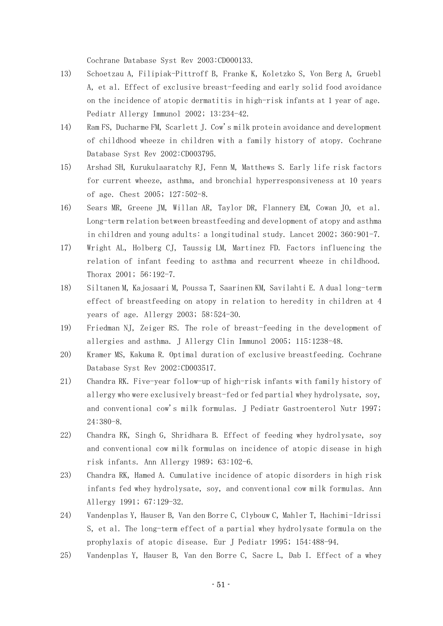Cochrane Database Syst Rev 2003:CD000133.

- 13) Schoetzau A, Filipiak-Pittroff B, Franke K, Koletzko S, Von Berg A, Gruebl A, et al. Effect of exclusive breast-feeding and early solid food avoidance on the incidence of atopic dermatitis in high-risk infants at 1 year of age. Pediatr Allergy Immunol 2002; 13:234-42.
- 14) Ram FS, Ducharme FM, Scarlett J. Cow's milk protein avoidance and development of childhood wheeze in children with a family history of atopy. Cochrane Database Syst Rev 2002:CD003795.
- 15) Arshad SH, Kurukulaaratchy RJ, Fenn M, Matthews S. Early life risk factors for current wheeze, asthma, and bronchial hyperresponsiveness at 10 years of age. Chest 2005; 127:502-8.
- 16) Sears MR, Greene JM, Willan AR, Taylor DR, Flannery EM, Cowan JO, et al. Long-term relation between breastfeeding and development of atopy and asthma in children and young adults: a longitudinal study. Lancet 2002; 360:901-7.
- 17) Wright AL, Holberg CJ, Taussig LM, Martinez FD. Factors influencing the relation of infant feeding to asthma and recurrent wheeze in childhood. Thorax 2001; 56:192-7.
- 18) Siltanen M, Kajosaari M, Poussa T, Saarinen KM, Savilahti E. A dual long-term effect of breastfeeding on atopy in relation to heredity in children at 4 years of age. Allergy 2003; 58:524-30.
- 19) Friedman NJ, Zeiger RS. The role of breast-feeding in the development of allergies and asthma. J Allergy Clin Immunol 2005; 115:1238-48.
- 20) Kramer MS, Kakuma R. Optimal duration of exclusive breastfeeding. Cochrane Database Syst Rev 2002:CD003517.
- 21) Chandra RK. Five-year follow-up of high-risk infants with family history of allergy who were exclusively breast-fed or fed partial whey hydrolysate, soy, and conventional cow's milk formulas. J Pediatr Gastroenterol Nutr 1997; 24:380-8.
- 22) Chandra RK, Singh G, Shridhara B. Effect of feeding whey hydrolysate, soy and conventional cow milk formulas on incidence of atopic disease in high risk infants. Ann Allergy 1989; 63:102-6.
- 23) Chandra RK, Hamed A. Cumulative incidence of atopic disorders in high risk infants fed whey hydrolysate, soy, and conventional cow milk formulas. Ann Allergy 1991; 67:129-32.
- 24) Vandenplas Y, Hauser B, Van den Borre C, Clybouw C, Mahler T, Hachimi-Idrissi S, et al. The long-term effect of a partial whey hydrolysate formula on the prophylaxis of atopic disease. Eur J Pediatr 1995; 154:488-94.
- 25) Vandenplas Y, Hauser B, Van den Borre C, Sacre L, Dab I. Effect of a whey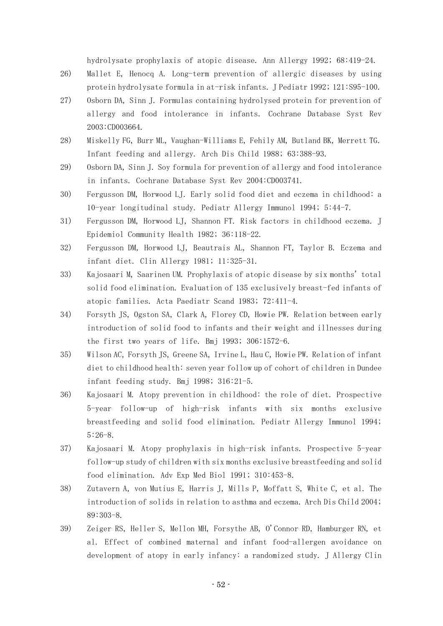hydrolysate prophylaxis of atopic disease. Ann Allergy 1992; 68:419-24.

- 26) Mallet E, Henocq A. Long-term prevention of allergic diseases by using protein hydrolysate formula in at-risk infants. J Pediatr 1992; 121:S95-100.
- 27) Osborn DA, Sinn J. Formulas containing hydrolysed protein for prevention of allergy and food intolerance in infants. Cochrane Database Syst Rev 2003:CD003664.
- 28) Miskelly FG, Burr ML, Vaughan-Williams E, Fehily AM, Butland BK, Merrett TG. Infant feeding and allergy. Arch Dis Child 1988; 63:388-93.
- 29) Osborn DA, Sinn J. Soy formula for prevention of allergy and food intolerance in infants. Cochrane Database Syst Rev 2004:CD003741.
- 30) Fergusson DM, Horwood LJ. Early solid food diet and eczema in childhood: a 10-year longitudinal study. Pediatr Allergy Immunol 1994; 5:44-7.
- 31) Fergusson DM, Horwood LJ, Shannon FT. Risk factors in childhood eczema. J Epidemiol Community Health 1982; 36:118-22.
- 32) Fergusson DM, Horwood LJ, Beautrais AL, Shannon FT, Taylor B. Eczema and infant diet. Clin Allergy 1981; 11:325-31.
- 33) Kajosaari M, Saarinen UM. Prophylaxis of atopic disease by six months' total solid food elimination. Evaluation of 135 exclusively breast-fed infants of atopic families. Acta Paediatr Scand 1983; 72:411-4.
- 34) Forsyth JS, Ogston SA, Clark A, Florey CD, Howie PW. Relation between early introduction of solid food to infants and their weight and illnesses during the first two years of life. Bmj 1993; 306:1572-6.
- 35) Wilson AC, Forsyth JS, Greene SA, Irvine L, Hau C, Howie PW. Relation of infant diet to childhood health: seven year follow up of cohort of children in Dundee infant feeding study. Bmj 1998; 316:21-5.
- 36) Kajosaari M. Atopy prevention in childhood: the role of diet. Prospective 5-year follow-up of high-risk infants with six months exclusive breastfeeding and solid food elimination. Pediatr Allergy Immunol 1994; 5:26-8.
- 37) Kajosaari M. Atopy prophylaxis in high-risk infants. Prospective 5-year follow-up study of children with six months exclusive breastfeeding and solid food elimination. Adv Exp Med Biol 1991; 310:453-8.
- 38) Zutavern A, von Mutius E, Harris J, Mills P, Moffatt S, White C, et al. The introduction of solids in relation to asthma and eczema. Arch Dis Child 2004; 89:303-8.
- 39) Zeiger RS, Heller S, Mellon MH, Forsythe AB, O'Connor RD, Hamburger RN, et al. Effect of combined maternal and infant food-allergen avoidance on development of atopy in early infancy: a randomized study. J Allergy Clin